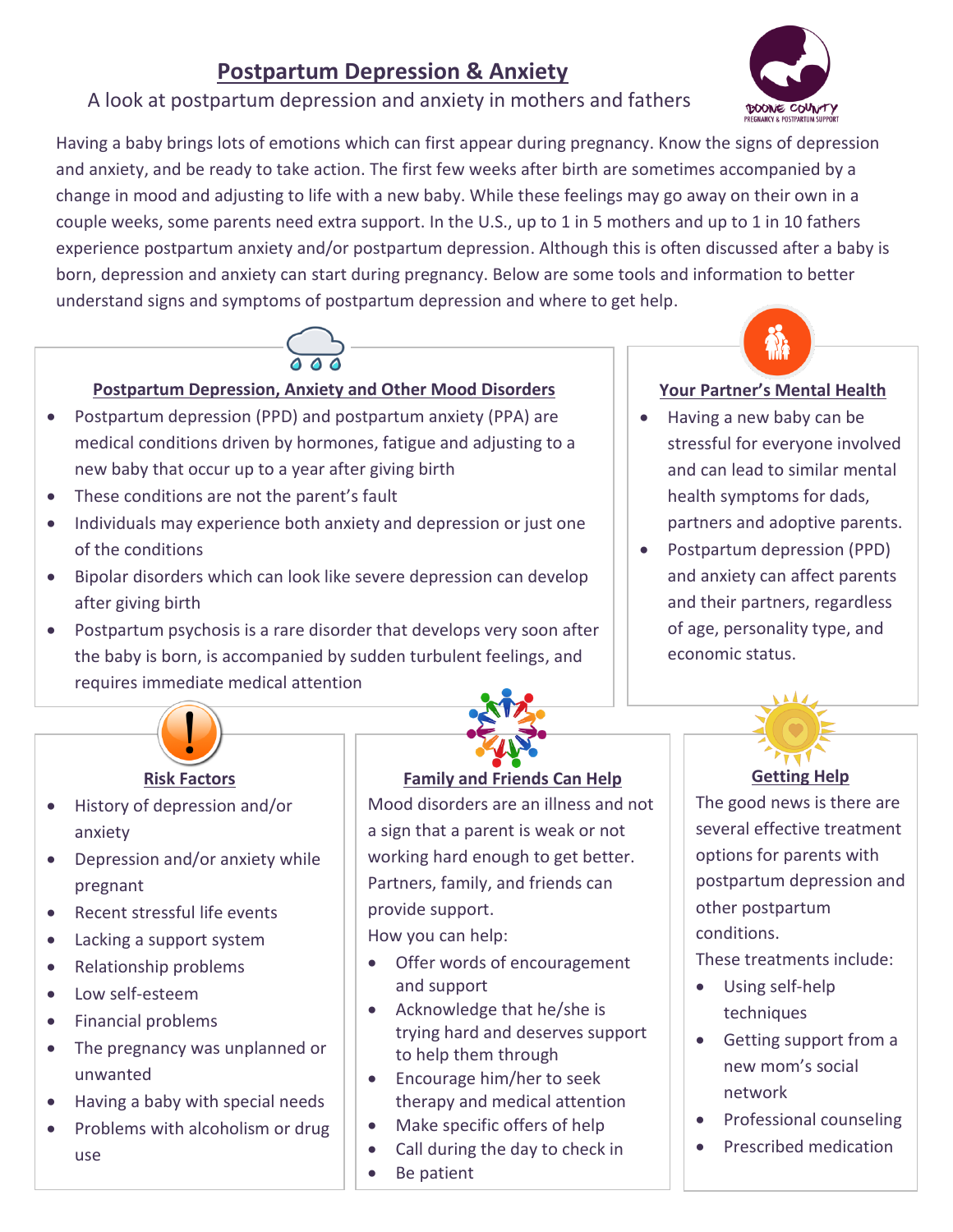# **Postpartum Depression & Anxiety**

## A look at postpartum depression and anxiety in mothers and fathers

Having a baby brings lots of emotions which can first appear during pregnancy. Know the signs of depression and anxiety, and be ready to take action. The first few weeks after birth are sometimes accompanied by a change in mood and adjusting to life with a new baby. While these feelings may go away on their own in a couple weeks, some parents need extra support. In the U.S., up to 1 in 5 mothers and up to 1 in 10 fathers experience postpartum anxiety and/or postpartum depression. Although this is often discussed after a baby is born, depression and anxiety can start during pregnancy. Below are some tools and information to better understand signs and symptoms of postpartum depression and where to get help.



#### **Postpartum Depression, Anxiety and Other Mood Disorders**

- Postpartum depression (PPD) and postpartum anxiety (PPA) are medical conditions driven by hormones, fatigue and adjusting to a new baby that occur up to a year after giving birth
- These conditions are not the parent's fault
- Individuals may experience both anxiety and depression or just one of the conditions
- Bipolar disorders which can look like severe depression can develop after giving birth
- Postpartum psychosis is a rare disorder that develops very soon after the baby is born, is accompanied by sudden turbulent feelings, and requires immediate medical attention



#### **Risk Factors**

- History of depression and/or anxiety
- Depression and/or anxiety while pregnant
- Recent stressful life events
- Lacking a support system
- Relationship problems
- Low self-esteem
- Financial problems
- The pregnancy was unplanned or unwanted
- Having a baby with special needs
- Problems with alcoholism or drug use

#### **Family and Friends Can Help**

Mood disorders are an illness and not a sign that a parent is weak or not working hard enough to get better. Partners, family, and friends can provide support.

How you can help:

- Offer words of encouragement and support
- Acknowledge that he/she is trying hard and deserves support to help them through
- Encourage him/her to seek therapy and medical attention
- Make specific offers of help
- Call during the day to check in
- Be patient



**DOOME COUNTY** 

- Having a new baby can be stressful for everyone involved and can lead to similar mental health symptoms for dads, partners and adoptive parents.
- Postpartum depression (PPD) and anxiety can affect parents and their partners, regardless of age, personality type, and economic status.



### **Getting Help**

The good news is there are several effective treatment options for parents with postpartum depression and other postpartum conditions.

These treatments include:

- Using self-help techniques
- Getting support from a new mom's social network
- Professional counseling
- Prescribed medication